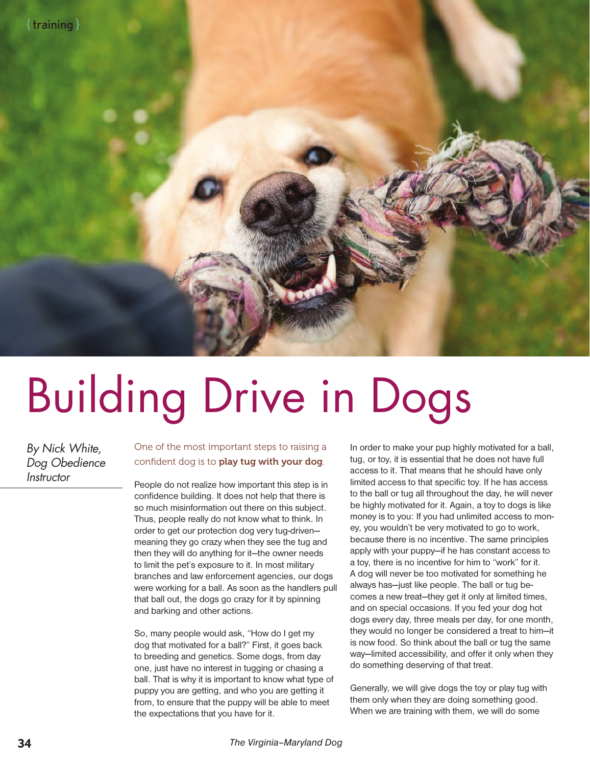

## Building Drive in Dogs

By Nick White, Dog Obedience **Instructor** 

## One of the most important steps to raising a confident dog is to play tug with your dog.

People do not realize how important this step is in confidence building. It does not help that there is so much misinformation out there on this subject. Thus, people really do not know what to think. In order to get our protection dog very tug-driven meaning they go crazy when they see the tug and then they will do anything for it—the owner needs to limit the pet's exposure to it. In most military branches and law enforcement agencies, our dogs were working for a ball. As soon as the handlers pull that ball out, the dogs go crazy for it by spinning and barking and other actions.

So, many people would ask, "How do I get my dog that motivated for a ball?" First, it goes back to breeding and genetics. Some dogs, from day one, just have no interest in tugging or chasing a ball. That is why it is important to know what type of puppy you are getting, and who you are getting it from, to ensure that the puppy will be able to meet the expectations that you have for it.

In order to make your pup highly motivated for a ball, tug, or toy, it is essential that he does not have full access to it. That means that he should have only limited access to that specific toy. If he has access to the ball or tug all throughout the day, he will never be highly motivated for it. Again, a toy to dogs is like money is to you: If you had unlimited access to money, you wouldn't be very motivated to go to work, because there is no incentive. The same principles apply with your puppy—if he has constant access to a toy, there is no incentive for him to "work" for it. A dog will never be too motivated for something he always has—just like people. The ball or tug becomes a new treat—they get it only at limited times, and on special occasions. If you fed your dog hot dogs every day, three meals per day, for one month, they would no longer be considered a treat to him—it is now food. So think about the ball or tug the same way—limited accessibility, and offer it only when they do something deserving of that treat.

Generally, we will give dogs the toy or play tug with them only when they are doing something good. When we are training with them, we will do some